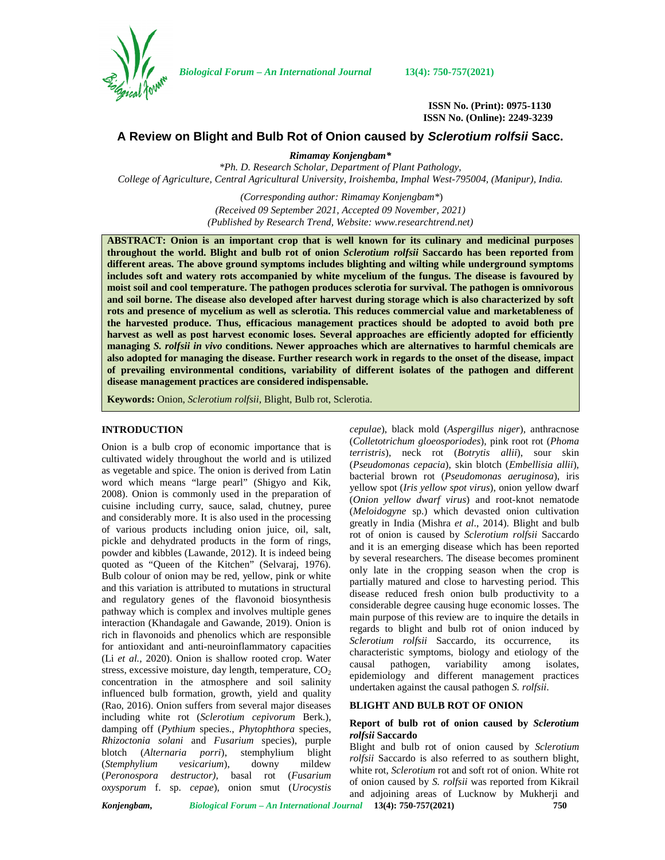

*Biological Forum – An International Journal* **13(4): 750-757(2021)**

**ISSN No. (Print): 0975-1130 ISSN No. (Online): 2249-3239**

# **A Review on Blight and Bulb Rot of Onion caused by** *Sclerotium rolfsii* **Sacc.**

*Rimamay Konjengbam\**

*\*Ph. D. Research Scholar, Department of Plant Pathology, College of Agriculture, Central Agricultural University, Iroishemba, Imphal West-795004, (Manipur), India.*

> *(Corresponding author: Rimamay Konjengbam\**) *(Received 09 September 2021, Accepted 09 November, 2021) (Published by Research Trend, Website: [www.researchtrend.net\)](www.researchtrend.net)*

**ABSTRACT: Onion is an important crop that is well known for its culinary and medicinal purposes throughout the world. Blight and bulb rot of onion** *Sclerotium rolfsii* **Saccardo has been reported from different areas. The above ground symptoms includes blighting and wilting while underground symptoms includes soft and watery rots accompanied by white mycelium of the fungus. The disease is favoured by moist soil and cool temperature. The pathogen produces sclerotia for survival. The pathogen is omnivorous and soil borne. The disease also developed after harvest during storage which is also characterized by soft rots and presence of mycelium as well as sclerotia. This reduces commercial value and marketableness of the harvested produce. Thus, efficacious management practices should be adopted to avoid both pre harvest as well as post harvest economic loses. Several approaches are efficiently adopted for efficiently managing** *S. rolfsii in vivo* **conditions. Newer approaches which are alternatives to harmful chemicals are also adopted for managing the disease. Further research work in regards to the onset of the disease, impact of prevailing environmental conditions, variability of different isolates of the pathogen and different disease management practices are considered indispensable.**

**Keywords:** Onion, *Sclerotium rolfsii,* Blight, Bulb rot, Sclerotia.

## **INTRODUCTION**

Onion is a bulb crop of economic importance that is cultivated widely throughout the world and is utilized as vegetable and spice. The onion is derived from Latin word which means "large pearl" (Shigyo and Kik, 2008). Onion is commonly used in the preparation of cuisine including curry, sauce, salad, chutney, puree and considerably more. It is also used in the processing of various products including onion juice, oil, salt, pickle and dehydrated products in the form of rings, powder and kibbles (Lawande, 2012). It is indeed being quoted as "Queen of the Kitchen" (Selvaraj, 1976). Bulb colour of onion may be red, yellow, pink or white and this variation is attributed to mutations in structural and regulatory genes of the flavonoid biosynthesis pathway which is complex and involves multiple genes interaction (Khandagale and Gawande, 2019). Onion is rich in flavonoids and phenolics which are responsible for antioxidant and anti-neuroinflammatory capacities (Li *et al.,* 2020). Onion is shallow rooted crop. Water stress, excessive moisture, day length, temperature,  $CO<sub>2</sub>$ concentration in the atmosphere and soil salinity influenced bulb formation, growth, yield and quality (Rao, 2016). Onion suffers from several major diseases including white rot (*Sclerotium cepivorum* Berk.), damping off (*Pythium* species., *Phytophthora* species, *Rhizoctonia solani* and *Fusarium* species), purple blotch (*Alternaria porri*), stemphylium blight (*Stemphylium vesicarium*), downy mildew (*Peronospora destructor),* basal rot (*Fusarium oxysporum* f. sp. *cepae*), onion smut (*Urocystis* *cepulae*), black mold (*Aspergillus niger*), anthracnose (*Colletotrichum gloeosporiodes*), pink root rot (*Phoma terristris*), neck rot (*Botrytis allii*), sour skin (*Pseudomonas cepacia*), skin blotch (*Embellisia allii*), bacterial brown rot (*Pseudomonas aeruginosa*), iris yellow spot (*Iris yellow spot virus*), onion yellow dwarf (*Onion yellow dwarf virus*) and root-knot nematode (*Meloidogyne* sp.) which devasted onion cultivation greatly in India (Mishra *et al*., 2014). Blight and bulb rot of onion is caused by *Sclerotium rolfsii* Saccardo and it is an emerging disease which has been reported by several researchers. The disease becomes prominent only late in the cropping season when the crop is partially matured and close to harvesting period. This disease reduced fresh onion bulb productivity to a considerable degree causing huge economic losses. The main purpose of this review are to inquire the details in regards to blight and bulb rot of onion induced by *Sclerotium rolfsii* Saccardo, its occurrence, its characteristic symptoms, biology and etiology of the causal pathogen, variability among isolates, epidemiology and different management practices undertaken against the causal pathogen *S. rolfsii*.

# **BLIGHT AND BULB ROT OF ONION**

## **Report of bulb rot of onion caused by** *Sclerotium rolfsii* **Saccardo**

Blight and bulb rot of onion caused by *Sclerotium rolfsii* Saccardo is also referred to as southern blight, white rot, *Sclerotium* rot and soft rot of onion. White rot of onion caused by *S. rolfsii* was reported from Kikrail and adjoining areas of Lucknow by Mukherji and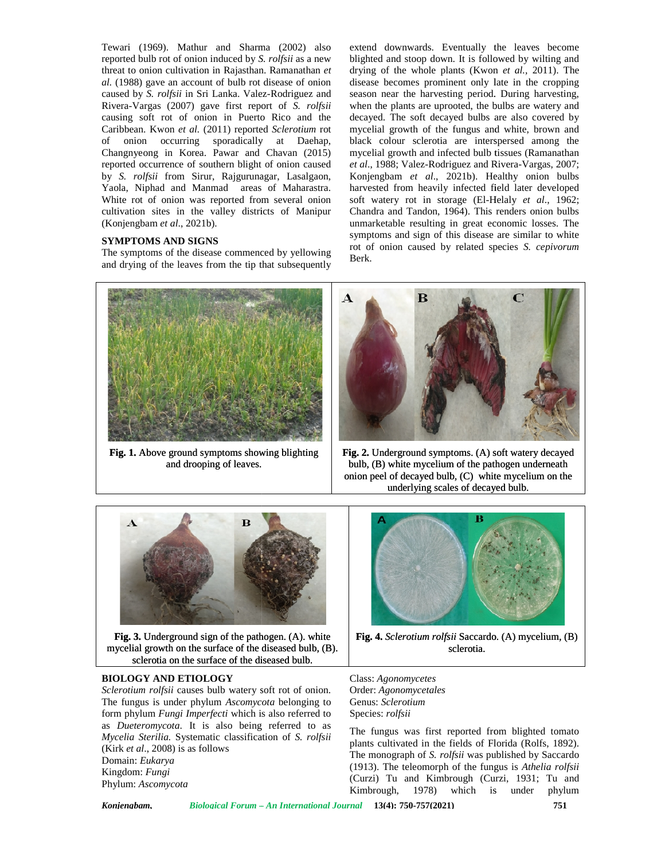Tewari (1969). Mathur and Sharma (2002) also reported bulb rot of onion induced by *S. rolfsii* as a new blighted a threat to onion cultivation in Rajasthan. Ramanathan *et* al. (1988) gave an account of bulb rot disease of onion disea caused by *S. rolfsii* in Sri Lanka. Valez-Rodriguez and Rivera-Vargas (2007) gave first report of *S. rolfsii* v causing soft rot of onion in Puerto Rico and the deca Caribbean. Kwon *et al.* (2011) reported *Sclerotium* rot of onion occurring sporadically at Daehap, Changnyeong in Korea. Pawar and Chavan (2015) reported occurrence of southern blight of onion caused et al., by *S. rolfsii* from Sirur, Rajgurunagar, Lasalgaon, Yaola, Niphad and Manmad areas of Maharastra. White rot of onion was reported from several onion cultivation sites in the valley districts of Manipur (Konjengbam *et al*., 2021b). rea. Pawar and C<br>f southern blight of<br>Sirur, Rajgurunaga<br>Manmad areas c<br>was reported from **Eventary** (1969). Mathur and Sharman COO2) also received bulb rot onion cultivation in Rajasthan. Ramanathan economic and the state of onion cultivation in State and A S. *Bighti* and Natural Portugal For the control of

# **SYMPTOMS AND SIGNS**

The symptoms of the disease commenced by yellowing The symptoms of the disease commenced by yellowing<br>and drying of the leaves from the tip that subsequently<br>

extend downwards. Eventually the leaves become blighted and stoop down. It is followed by wilting and drying of the whole plants (Kwon *et al.,* 2011). The disease becomes prominent only late in the cropping season near the harvesting period. During harvesting, when the plants are uprooted, the bulbs are watery and decayed. The soft decayed bulbs are also covered by mycelial growth of the fungus and white, brown and black colour sclerotia are interspersed among the mycelial growth and infected bulb tissues (Ramanathan *et al*., 1988; Valez-Rodriguez and Rivera-Vargas, 2007; Konjengbam *et al*., 2021b). Healthy onion bulbs harvested from heavily infected field later developed soft watery rot in storage (El-Helaly *et al*., 1962; Chandra and Tandon, 1964). This renders onion bulbs unmarketable resulting in great economic losses. The symptoms and sign of this disease are similar to white rot of onion caused by related species *S. cepivorum* Berk. Tewari (1969). Mathur and Sharma (2002) also extend downwards. Eventually the leaves become<br>reported bulb rot of onion induced by *S. rolfsii* as a new bilghted and stoop down. It is followed by withing and<br>threat to onio



**Fig. 1.** Above ground symptoms showing blighting | Fig. and drooping of leaves.



**Fig. 2.** Underground symptoms. (A) soft watery decayed bulb, (B) white mycelium of the pathogen underneath bulb, (B) white mycelium of the pathogen underneath<br>onion peel of decayed bulb, (C) white mycelium on the underlying scales of decayed bulb.



**Fig. 3.** Underground sign of the pathogen. (A). white mycelial growth on the surface of the diseased bulb, (B). sclerotia on the surface of the diseased bulb.

#### **BIOLOGY AND ETIOLOGY AND**

*Sclerotium rolfsii* causes bulb watery soft rot of onion. The fungus is under phylum *Ascomycota* belonging to form phylum *Fungi Imperfecti* which is also referred to as *Dueteromycota*. It is also being referred to as  $_{\text{TL}}$ . *Sclerotium rolfsii* causes bulb watery soft rot of onion.<br>
The fungus is under phylum *Ascomycota* belonging to<br>
form phylum *Fungi Imperfecti* which is also referred to class<br> *Mycelia Sterilia*. Systematic classificatio (Kirk *et al*., 2008) is as follows *et al*Domain: *Eukarya* Domain:Kingdom: *Fungi Fungi*Phylum: *Ascomycota* mycelial growth on the surface of the disease<br>sclerotia on the surface of the disease<br>HOLOGY AND ETIOLOGY<br>clerotium rolfsii causes bulb watery soft ro<br>he fungus is under phylum Ascomycota b



**Fig. 4.** *Sclerotium rolfsii* Saccardo. (A) mycelium, (B) h on the surface of the diseased bulb, (B). Sclerotia. Sclerotia. sclerotia.

Class: *Agonomycetes* Order: *Agonomycetales* Genus: *Sclerotium* Species: *rolfsii*

The fungus was first reported from blighted tomato plants cultivated in the fields of Florida (Rolfs, 1892). The monograph of *S. rolfsii* was published by Saccardo The monograph of *S. rolfsii* was published by Saccardo (1913). The teleomorph of the fungus is *Athelia rolfsii* (Curzi) Tu and Kimbrough (Curzi, 1931; Tu and Kimbrough, 1978) which is under phylum Order: Ag*onomycetales*<br>Genus: *Sclerotium*<br>Species: *rolfsii*<br>The fungus was first reported from blighted tomato<br>plants cultivated in the fields of Florida (Rolfs, 1892).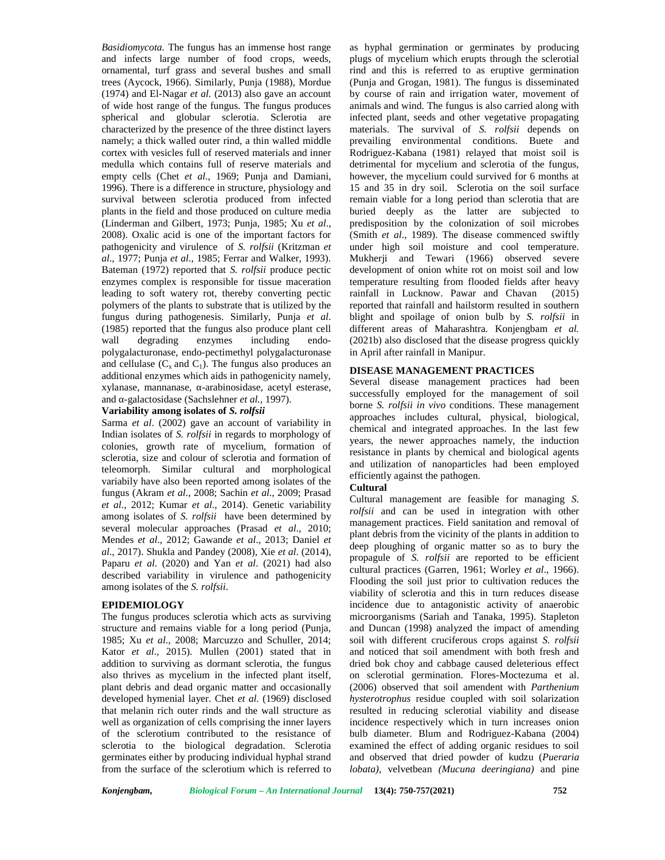*Basidiomycota.* The fungus has an immense host range and infects large number of food crops, weeds, ornamental, turf grass and several bushes and small trees (Aycock, 1966). Similarly, Punja (1988), Mordue (1974) and El-Nagar *et al*. (2013) also gave an account of wide host range of the fungus. The fungus produces spherical and globular sclerotia. Sclerotia are characterized by the presence of the three distinct layers namely; a thick walled outer rind, a thin walled middle cortex with vesicles full of reserved materials and inner medulla which contains full of reserve materials and empty cells (Chet *et al*., 1969; Punja and Damiani, 1996). There is a difference in structure, physiology and survival between sclerotia produced from infected plants in the field and those produced on culture media (Linderman and Gilbert, 1973; Punja, 1985; Xu *et al*., 2008). Oxalic acid is one of the important factors for pathogenicity and virulence of *S. rolfsii* (Kritzman *et al*., 1977; Punja *et al*., 1985; Ferrar and Walker, 1993). Bateman (1972) reported that *S. rolfsii* produce pectic enzymes complex is responsible for tissue maceration leading to soft watery rot, thereby converting pectic polymers of the plants to substrate that is utilized by the fungus during pathogenesis. Similarly, Punja *et al*. (1985) reported that the fungus also produce plant cell wall degrading enzymes including endo polygalacturonase, endo-pectimethyl polygalacturonase and cellulase  $(C_x \text{ and } C_1)$ . The fungus also produces an additional enzymes which aids in pathogenicity namely, xylanase, mannanase, α-arabinosidase, acetyl esterase, and -galactosidase (Sachslehner et al., 1997).

# **Variability among isolates of** *S. rolfsii*

Sarma *et al*. (2002) gave an account of variability in Indian isolates of *S. rolfsii* in regards to morphology of colonies, growth rate of mycelium, formation of sclerotia, size and colour of sclerotia and formation of teleomorph. Similar cultural and morphological variabily have also been reported among isolates of the fungus (Akram *et al*., 2008; Sachin *et al*., 2009; Prasad *et al*., 2012; Kumar *et al*., 2014). Genetic variability among isolates of *S. rolfsii* have been determined by several molecular approaches (Prasad *et al*., 2010; Mendes *et al*., 2012; Gawande *et al*., 2013; Daniel *et al*., 2017). Shukla and Pandey (2008), Xie *et al*. (2014), Paparu *et al*. (2020) and Yan *et al*. (2021) had also described variability in virulence and pathogenicity among isolates of the *S. rolfsii*.

#### **EPIDEMIOLOGY**

The fungus produces sclerotia which acts as surviving structure and remains viable for a long period (Punja, 1985; Xu *et al*., 2008; Marcuzzo and Schuller, 2014; Kator *et al*., 2015). Mullen (2001) stated that in addition to surviving as dormant sclerotia, the fungus also thrives as mycelium in the infected plant itself, plant debris and dead organic matter and occasionally developed hymenial layer. Chet *et al.* (1969) disclosed that melanin rich outer rinds and the wall structure as well as organization of cells comprising the inner layers of the sclerotium contributed to the resistance of sclerotia to the biological degradation. Sclerotia germinates either by producing individual hyphal strand from the surface of the sclerotium which is referred to

as hyphal germination or germinates by producing plugs of mycelium which erupts through the sclerotial rind and this is referred to as eruptive germination (Punja and Grogan, 1981). The fungus is disseminated by course of rain and irrigation water, movement of animals and wind. The fungus is also carried along with infected plant, seeds and other vegetative propagating materials. The survival of *S. rolfsii* depends on prevailing environmental conditions. Buete and Rodriguez-Kabana (1981) relayed that moist soil is detrimental for mycelium and sclerotia of the fungus, however, the mycelium could survived for 6 months at 15 and 35 in dry soil. Sclerotia on the soil surface remain viable for a long period than sclerotia that are buried deeply as the latter are subjected to predisposition by the colonization of soil microbes (Smith *et al*., 1989). The disease commenced swiftly under high soil moisture and cool temperature. Mukherji and Tewari (1966) observed severe development of onion white rot on moist soil and low temperature resulting from flooded fields after heavy rainfall in Lucknow. Pawar and Chavan (2015) reported that rainfall and hailstorm resulted in southern blight and spoilage of onion bulb by *S. rolfsii* in different areas of Maharashtra*.* Konjengbam *et al.* (2021b) also disclosed that the disease progress quickly in April after rainfall in Manipur.

# **DISEASE MANAGEMENT PRACTICES**

Several disease management practices had been successfully employed for the management of soil borne *S. rolfsii in vivo* conditions. These management approaches includes cultural, physical, biological, chemical and integrated approaches. In the last few years, the newer approaches namely, the induction resistance in plants by chemical and biological agents and utilization of nanoparticles had been employed efficiently against the pathogen.

## **Cultural**

Cultural management are feasible for managing *S. rolfsii* and can be used in integration with other management practices. Field sanitation and removal of plant debris from the vicinity of the plants in addition to deep ploughing of organic matter so as to bury the propagule of *S. rolfsii* are reported to be efficient cultural practices (Garren, 1961; Worley *et al*., 1966). Flooding the soil just prior to cultivation reduces the viability of sclerotia and this in turn reduces disease incidence due to antagonistic activity of anaerobic microorganisms (Sariah and Tanaka, 1995). Stapleton and Duncan (1998) analyzed the impact of amending soil with different cruciferous crops against *S. rolfsii* and noticed that soil amendment with both fresh and dried bok choy and cabbage caused deleterious effect on sclerotial germination. Flores-Moctezuma et al. (2006) observed that soil amendent with *Parthenium hysterotrophus* residue coupled with soil solarization resulted in reducing sclerotial viability and disease incidence respectively which in turn increases onion bulb diameter. Blum and Rodriguez-Kabana (2004) examined the effect of adding organic residues to soil and observed that dried powder of kudzu (*Pueraria lobata)*, velvetbean *(Mucuna deeringiana)* and pine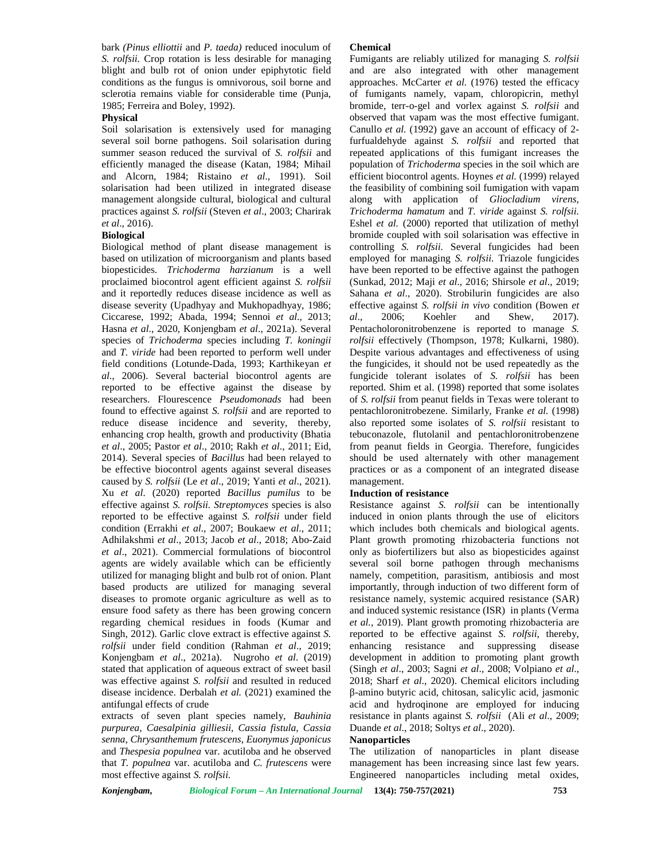bark *(Pinus elliottii* and *P. taeda)* reduced inoculum of *S. rolfsii.* Crop rotation is less desirable for managing blight and bulb rot of onion under epiphytotic field conditions as the fungus is omnivorous, soil borne and sclerotia remains viable for considerable time (Punja, 1985; Ferreira and Boley, 1992).

## **Physical**

Soil solarisation is extensively used for managing several soil borne pathogens. Soil solarisation during summer season reduced the survival of *S. rolfsii* and efficiently managed the disease (Katan, 1984; Mihail and Alcorn, 1984; Ristaino *et al*., 1991). Soil solarisation had been utilized in integrated disease management alongside cultural, biological and cultural practices against *S. rolfsii* (Steven *et al*., 2003; Charirak *et al*., 2016).

#### **Biological**

Biological method of plant disease management is based on utilization of microorganism and plants based biopesticides. *Trichoderma harzianum* is a well proclaimed biocontrol agent efficient against *S. rolfsii* and it reportedly reduces disease incidence as well as disease severity (Upadhyay and Mukhopadhyay, 1986; Ciccarese, 1992; Abada, 1994; Sennoi *et al*., 2013; Hasna *et al*., 2020, Konjengbam *et al*., 2021a). Several species of *Trichoderma* species including *T. koningii* and *T. viride* had been reported to perform well under field conditions (Lotunde-Dada, 1993; Karthikeyan *et al*., 2006). Several bacterial biocontrol agents are reported to be effective against the disease by researchers. Flourescence *Pseudomonads* had been found to effective against *S. rolfsii* and are reported to reduce disease incidence and severity, thereby, enhancing crop health, growth and productivity (Bhatia *et al*., 2005; Pastor *et al*., 2010; Rakh *et al*., 2011; Eid, 2014). Several species of *Bacillus* had been relayed to be effective biocontrol agents against several diseases caused by *S. rolfsii* (Le *et al*., 2019; Yanti *et al*., 2021)*.* Xu *et al*. (2020) reported *Bacillus pumilus* to be effective against *S. rolfsii. Streptomyces* species is also reported to be effective against *S. rolfsii* under field condition (Errakhi *et al*., 2007; Boukaew *et al*., 2011; Adhilakshmi *et al*., 2013; Jacob *et al*., 2018; Abo-Zaid *et al*., 2021). Commercial formulations of biocontrol agents are widely available which can be efficiently utilized for managing blight and bulb rot of onion. Plant based products are utilized for managing several diseases to promote organic agriculture as well as to ensure food safety as there has been growing concern regarding chemical residues in foods (Kumar and Singh, 2012). Garlic clove extract is effective against *S. rolfsii* under field condition (Rahman *et al*., 2019; Konjengbam *et al*., 2021a). Nugroho *et al*. (2019) stated that application of aqueous extract of sweet basil was effective against *S. rolfsii* and resulted in reduced disease incidence. Derbalah *et al.* (2021) examined the antifungal effects of crude

extracts of seven plant species namely, *Bauhinia purpurea, Caesalpinia gilliesii, Cassia fistula, Cassia senna*, *Chrysanthemum frutescens*, *Euonymus japonicus* and *Thespesia populnea* var. acutiloba and he observed that *T. populnea* var. acutiloba and *C. frutescens* were most effective against *S. rolfsii.*

#### **Chemical**

Fumigants are reliably utilized for managing *S. rolfsii* and are also integrated with other management approaches. McCarter *et al.* (1976) tested the efficacy of fumigants namely, vapam, chloropicrin, methyl bromide, terr-o-gel and vorlex against *S. rolfsii* and observed that vapam was the most effective fumigant. Canullo *et al.* (1992) gave an account of efficacy of 2 furfualdehyde against *S. rolfsii* and reported that repeated applications of this fumigant increases the population of *Trichoderma* species in the soil which are efficient biocontrol agents. Hoynes *et al.* (1999) relayed the feasibility of combining soil fumigation with vapam along with application of *Gliocladium virens, Trichoderma hamatum* and *T. viride* against *S. rolfsii.* Eshel *et al.* (2000) reported that utilization of methyl bromide coupled with soil solarisation was effective in controlling *S. rolfsii.* Several fungicides had been employed for managing *S. rolfsii.* Triazole fungicides have been reported to be effective against the pathogen (Sunkad, 2012; Maji *et al*., 2016; Shirsole *et al*., 2019; Sahana *et al*., 2020). Strobilurin fungicides are also effective against *S. rolfsii in vivo* condition (Bowen *et* 2006; Koehler and Shew, 2017). Pentacholoronitrobenzene is reported to manage *S. rolfsii* effectively (Thompson, 1978; Kulkarni, 1980). Despite various advantages and effectiveness of using the fungicides, it should not be used repeatedly as the fungicide tolerant isolates of *S. rolfsii* has been reported. Shim et al. (1998) reported that some isolates of *S. rolfsii* from peanut fields in Texas were tolerant to pentachloronitrobezene. Similarly, Franke *et al.* (1998) also reported some isolates of *S. rolfsii* resistant to tebuconazole, flutolanil and pentachloronitrobenzene from peanut fields in Georgia. Therefore, fungicides should be used alternately with other management practices or as a component of an integrated disease management.

## **Induction of resistance**

Resistance against *S. rolfsii* can be intentionally induced in onion plants through the use of elicitors which includes both chemicals and biological agents. Plant growth promoting rhizobacteria functions not only as biofertilizers but also as biopesticides against several soil borne pathogen through mechanisms namely, competition, parasitism, antibiosis and most importantly, through induction of two different form of resistance namely, systemic acquired resistance (SAR) and induced systemic resistance (ISR) in plants (Verma *et al.,* 2019). Plant growth promoting rhizobacteria are reported to be effective against *S. rolfsii,* thereby, enhancing resistance and suppressing disease development in addition to promoting plant growth (Singh *et al*., 2003; Sagni *et al*., 2008; Volpiano *et al*., 2018; Sharf *et al*., 2020). Chemical elicitors including -amino butyric acid, chitosan, salicylic acid, jasmonic acid and hydroqinone are employed for inducing resistance in plants against *S. rolfsii* (Ali *et al*., 2009; Duande *et al*., 2018; Soltys *et al*., 2020).

#### **Nanoparticles**

The utilization of nanoparticles in plant disease management has been increasing since last few years. Engineered nanoparticles including metal oxides,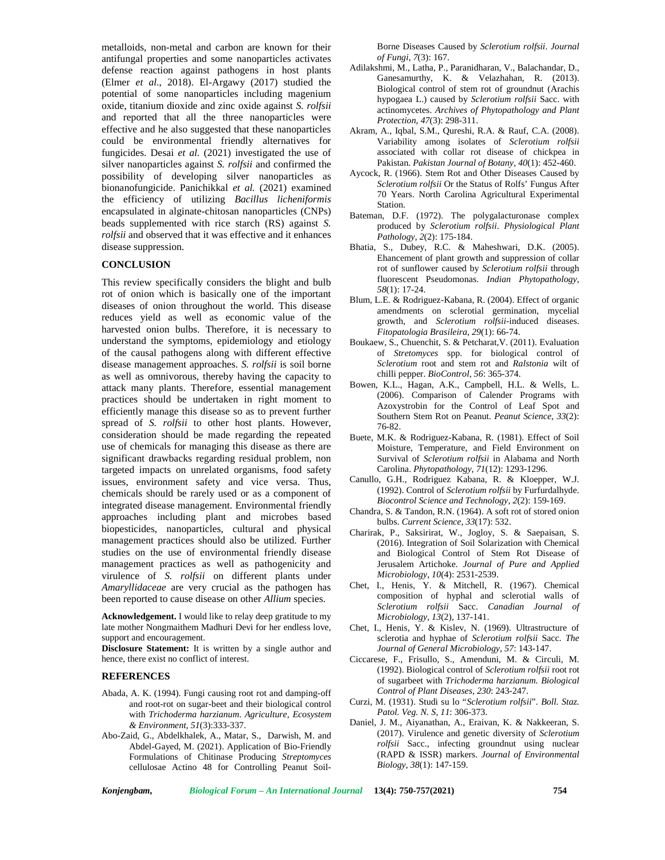metalloids, non-metal and carbon are known for their antifungal properties and some nanoparticles activates defense reaction against pathogens in host plants (Elmer *et al*., 2018). El-Argawy (2017) studied the potential of some nanoparticles including magenium oxide, titanium dioxide and zinc oxide against *S. rolfsii* and reported that all the three nanoparticles were effective and he also suggested that these nanoparticles could be environmental friendly alternatives for fungicides. Desai *et al.* (2021) investigated the use of silver nanoparticles against *S. rolfsii* and confirmed the possibility of developing silver nanoparticles as bionanofungicide. Panichikkal *et al.* (2021) examined the efficiency of utilizing *Bacillus licheniformis* encapsulated in alginate-chitosan nanoparticles (CNPs) beads supplemented with rice starch (RS) against *S. rolfsii* and observed that it was effective and it enhances disease suppression.

# **CONCLUSION**

This review specifically considers the blight and bulb rot of onion which is basically one of the important diseases of onion throughout the world. This disease reduces yield as well as economic value of the harvested onion bulbs. Therefore, it is necessary to understand the symptoms, epidemiology and etiology of the causal pathogens along with different effective disease management approaches. *S. rolfsii* is soil borne as well as omnivorous, thereby having the capacity to attack many plants. Therefore, essential management practices should be undertaken in right moment to efficiently manage this disease so as to prevent further spread of *S. rolfsii* to other host plants. However, consideration should be made regarding the repeated use of chemicals for managing this disease as there are significant drawbacks regarding residual problem, non targeted impacts on unrelated organisms, food safety issues, environment safety and vice versa. Thus, chemicals should be rarely used or as a component of integrated disease management. Environmental friendly approaches including plant and microbes based biopesticides, nanoparticles, cultural and physical management practices should also be utilized. Further studies on the use of environmental friendly disease management practices as well as pathogenicity and virulence of *S. rolfsii* on different plants under *Amaryllidaceae* are very crucial as the pathogen has been reported to cause disease on other *Allium* species.

**Acknowledgement.** I would like to relay deep gratitude to my late mother Nongmaithem Madhuri Devi for her endless love, support and encouragement.

**Disclosure Statement:** It is written by a single author and hence, there exist no conflict of interest.

#### **REFERENCES**

- Abada, A. K. (1994). Fungi causing root rot and damping-off and root-rot on sugar-beet and their biological control with *Trichoderma harzianum*. *Agriculture, Ecosystem & Environment, 51*(3):333-337.
- Abo-Zaid, G., Abdelkhalek, A., Matar, S., Darwish, M. and Abdel-Gayed, M. (2021). Application of Bio-Friendly Formulations of Chitinase Producing *Streptomyces* cellulosae Actino 48 for Controlling Peanut Soil-

Borne Diseases Caused by *Sclerotium rolfsii*. *Journal of Fungi*, *7*(3): 167.

- Adilakshmi, M., Latha, P., Paranidharan, V., Balachandar, D., Ganesamurthy, K. & Velazhahan, R. (2013). Biological control of stem rot of groundnut (Arachis hypogaea L.) caused by *Sclerotium rolfsii* Sacc. with actinomycetes. *Archives of Phytopathology and Plant Protection*, *47*(3): 298-311.
- Akram, A., Iqbal, S.M., Qureshi, R.A. & Rauf, C.A. (2008). Variability among isolates of *Sclerotium rolfsii* associated with collar rot disease of chickpea in Pakistan. *Pakistan Journal of Botany, 40*(1): 452-460.
- Aycock, R. (1966). Stem Rot and Other Diseases Caused by *Sclerotium rolfsii* Or the Status of Rolfs' Fungus After 70 Years. North Carolina Agricultural Experimental Station.
- Bateman, D.F. (1972). The polygalacturonase complex produced by *Sclerotium rolfsii*. *Physiological Plant Pathology*, *2*(2): 175-184.
- Bhatia, S., Dubey, R.C. & Maheshwari, D.K. (2005). Ehancement of plant growth and suppression of collar rot of sunflower caused by *Sclerotium rolfsii* through fluorescent Pseudomonas. *Indian Phytopathology*, *58*(1): 17-24.
- Blum, L.E. & Rodriguez-Kabana, R. (2004). Effect of organic amendments on sclerotial germination, mycelial growth, and *Sclerotium rolfsii*-induced diseases. *Fitopatologia Brasileira*, *29*(1): 66-74.
- Boukaew, S., Chuenchit, S. & Petcharat,V. (2011). Evaluation of *Stretomyces* spp. for biological control of *Sclerotium* root and stem rot and *Ralstonia* wilt of chilli pepper. *BioControl*, *56*: 365-374.
- Bowen, K.L., Hagan, A.K., Campbell, H.L. & Wells, L. (2006). Comparison of Calender Programs with Azoxystrobin for the Control of Leaf Spot and Southern Stem Rot on Peanut. *Peanut Science*, *33*(2): 76-82.
- Buete, M.K. & Rodriguez-Kabana, R. (1981). Effect of Soil Moisture, Temperature, and Field Environment on Survival of *Sclerotium rolfsii* in Alabama and North Carolina. *Phytopathology*, *71*(12): 1293-1296.
- Canullo, G.H., Rodriguez Kabana, R. & Kloepper, W.J. (1992). Control of *Sclerotium rolfsii* by Furfurdalhyde. *Biocontrol Science and Technology*, *2*(2): 159-169.
- Chandra, S. & Tandon, R.N. (1964). A soft rot of stored onion bulbs. *Current Science*, *33*(17): 532.
- Charirak, P., Saksirirat, W., Jogloy, S. & Saepaisan, S. (2016). Integration of Soil Solarization with Chemical and Biological Control of Stem Rot Disease of Jerusalem Artichoke. *Journal of Pure and Applied Microbiology*, *10*(4): 2531-2539.
- Chet, I., Henis, Y. & Mitchell, R. (1967). Chemical composition of hyphal and sclerotial walls of *Sclerotium rolfsii* Sacc. *Canadian Journal of Microbiology*, *13*(2), 137-141.
- Chet, I., Henis, Y. & Kislev, N. (1969). Ultrastructure of sclerotia and hyphae of *Sclerotium rolfsii* Sacc. *The Journal of General Microbiology*, *57*: 143-147.
- Ciccarese, F., Frisullo, S., Amenduni, M. & Circuli, M. (1992). Biological control of *Sclerotium rolfsii* root rot of sugarbeet with *Trichoderma harzianum. Biological Control of Plant Diseases, 230*: 243-247.
- Curzi, M. (1931). Studi su lo "*Sclerotium rolfsii*". *Boll. Staz. Patol. Veg. N. S*, *11*: 306-373.
- Daniel, J. M., Aiyanathan, A., Eraivan, K. & Nakkeeran, S. (2017). Virulence and genetic diversity of *Sclerotium rolfsii* Sacc., infecting groundnut using nuclear (RAPD & ISSR) markers. *Journal of Environmental Biology*, *38*(1): 147-159.

*Konjengbam, Biological Forum – An International Journal* **13(4): 750-757(2021) 754**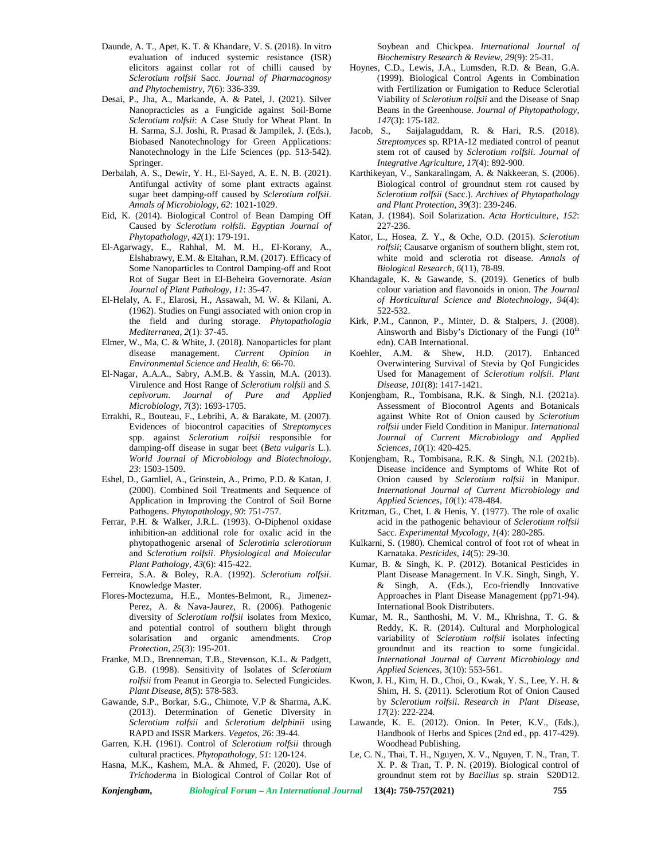- Daunde, A. T., Apet, K. T. & Khandare, V. S. (2018). In vitro evaluation of induced systemic resistance (ISR) elicitors against collar rot of chilli caused by *Sclerotium rolfsii* Sacc. *Journal of Pharmacognosy and Phytochemistry*, *7*(6): 336-339.
- Desai, P., Jha, A., Markande, A. & Patel, J. (2021). Silver Nanopracticles as a Fungicide against Soil-Borne *Sclerotium rolfsii*: A Case Study for Wheat Plant. In H. Sarma, S.J. Joshi, R. Prasad & Jampilek, J. (Eds.), Biobased Nanotechnology for Green Applications: Nanotechnology in the Life Sciences (pp. 513-542). Springer.
- Derbalah, A. S., Dewir, Y. H., El-Sayed, A. E. N. B. (2021). Antifungal activity of some plant extracts against sugar beet damping-off caused by *Sclerotium rolfsii*. *Annals of Microbiology, 62*: 1021-1029.
- Eid, K. (2014). Biological Control of Bean Damping Off Caused by *Sclerotium rolfsii*. *Egyptian Journal of Phytopathology*, *42*(1): 179-191.
- El-Agarwagy, E., Rahhal, M. M. H., El-Korany, A., Elshabrawy, E.M. & Eltahan, R.M. (2017). Efficacy of Some Nanoparticles to Control Damping-off and Root Rot of Sugar Beet in El-Beheira Governorate. *Asian Journal of Plant Pathology*, *11*: 35-47.
- El-Helaly, A. F., Elarosi, H., Assawah, M. W. & Kilani, A. (1962). Studies on Fungi associated with onion crop in the field and during storage. *Phytopathologia Mediterranea*, *2*(1): 37-45.
- Elmer, W., Ma, C. & White, J. (2018). Nanoparticles for plant disease management. *Current Opinion in Environmental Science and Health*, *6*: 66-70.
- El-Nagar, A.A.A., Sabry, A.M.B. & Yassin, M.A. (2013). Virulence and Host Range of *Sclerotium rolfsii* and *S. cepivorum*. *Journal of Pure and Applied Microbiology*, *7*(3): 1693-1705.
- Errakhi, R., Bouteau, F., Lebrihi, A. & Barakate, M. (2007). Evidences of biocontrol capacities of *Streptomyces* spp. against *Sclerotium rolfsii* responsible for damping-off disease in sugar beet (*Beta vulgaris* L.). *World Journal of Microbiology and Biotechnology*, *23*: 1503-1509.
- Eshel, D., Gamliel, A., Grinstein, A., Primo, P.D. & Katan, J. (2000). Combined Soil Treatments and Sequence of Application in Improving the Control of Soil Borne Pathogens. *Phytopathology*, *90*: 751-757.
- Ferrar, P.H. & Walker, J.R.L. (1993). O-Diphenol oxidase inhibition-an additional role for oxalic acid in the phytopathogenic arsenal of *Sclerotinia sclerotiorum* and *Sclerotium rolfsii*. *Physiological and Molecular Plant Pathology*, *43*(6): 415-422.
- Ferreira, S.A. & Boley, R.A. (1992). *Sclerotium rolfsii*. Knowledge Master.
- Flores-Moctezuma, H.E., Montes-Belmont, R., Jimenez- Perez, A. & Nava-Jaurez, R. (2006). Pathogenic diversity of *Sclerotium rolfsii* isolates from Mexico, and potential control of southern blight through solarisation and organic amendments. *Crop Protection*, *25*(3): 195-201.
- Franke, M.D., Brenneman, T.B., Stevenson, K.L. & Padgett, G.B. (1998). Sensitivity of Isolates of *Sclerotium rolfsii* from Peanut in Georgia to. Selected Fungicides. *Plant Disease*, *8*(5): 578-583.
- Gawande, S.P., Borkar, S.G., Chimote, V.P & Sharma, A.K. (2013). Determination of Genetic Diversity in *Sclerotium rolfsii* and *Sclerotium delphinii* using RAPD and ISSR Markers. *Vegetos*, *26*: 39-44.
- Garren, K.H. (1961). Control of *Sclerotium rolfsii* through cultural practices. *Phytopathology*, *51*: 120-124.
- Hasna, M.K., Kashem, M.A. & Ahmed, F. (2020). Use of *Trichoderm*a in Biological Control of Collar Rot of

*Konjengbam, Biological Forum – An International Journal* **13(4): 750-757(2021) 755**

Soybean and Chickpea. *International Journal of Biochemistry Research & Review, 29*(9): 25-31.

- Hoynes, C.D., Lewis, J.A., Lumsden, R.D. & Bean, G.A. (1999). Biological Control Agents in Combination with Fertilization or Fumigation to Reduce Sclerotial Viability of *Sclerotium rolfsii* and the Disease of Snap Beans in the Greenhouse. *Journal of Phytopathology*, *147*(3): 175-182.
- Saijalaguddam, R. & Hari, R.S. (2018). *Streptomyces* sp. RP1A-12 mediated control of peanut stem rot of caused by *Sclerotium rolfsii*. *Journal of Integrative Agriculture*, *17*(4): 892-900.
- Karthikeyan, V., Sankaralingam, A. & Nakkeeran, S. (2006). Biological control of groundnut stem rot caused by *Sclerotium rolfsii* (Sacc.). *Archives of Phytopathology and Plant Protection*, *39*(3): 239-246.
- Katan, J. (1984). Soil Solarization. *Acta Horticulture*, *152*: 227-236.
- Kator, L., Hosea, Z. Y., & Oche, O.D. (2015). *Sclerotium rolfsii*; Causatve organism of southern blight, stem rot, white mold and sclerotia rot disease. *Annals of Biological Research, 6*(11), 78-89.
- Khandagale, K. & Gawande, S. (2019). Genetics of bulb colour variation and flavonoids in onion. *The Journal of Horticultural Science and Biotechnology*, *94*(4): 522-532.
- Kirk, P.M., Cannon, P., Minter, D. & Stalpers, J. (2008). Ainsworth and Bisby's Dictionary of the Fungi  $(10^{th}$ edn). CAB International.
- Koehler, A.M. & Shew, H.D. (2017). Enhanced Overwintering Survival of Stevia by QoI Fungicides Used for Management of *Sclerotium rolfsii*. *Plant Disease*, *101*(8): 1417-1421.
- Konjengbam, R., Tombisana, R.K. & Singh, N.I. (2021a). Assessment of Biocontrol Agents and Botanicals against White Rot of Onion caused by *Sclerotium rolfsii* under Field Condition in Manipur. *International Journal of Current Microbiology and Applied Sciences*, *10*(1): 420-425.
- Konjengbam, R., Tombisana, R.K. & Singh, N.I. (2021b). Disease incidence and Symptoms of White Rot of Onion caused by *Sclerotium rolfsii* in Manipur. *International Journal of Current Microbiology and Applied Sciences*, *10*(1): 478-484.
- Kritzman, G., Chet, I. & Henis, Y. (1977). The role of oxalic acid in the pathogenic behaviour of *Sclerotium rolfsii* Sacc. *Experimental Mycology*, *1*(4): 280-285.
- Kulkarni, S. (1980). Chemical control of foot rot of wheat in Karnataka. *Pesticides*, *14*(5): 29-30.
- Kumar, B. & Singh, K. P. (2012). Botanical Pesticides in Plant Disease Management. In V.K. Singh, Singh, Y. & Singh, A. (Eds.), Eco-friendly Innovative Approaches in Plant Disease Management (pp71-94). International Book Distributers.
- Kumar, M. R., Santhoshi, M. V. M., Khrishna, T. G. & Reddy, K. R. (2014). Cultural and Morphological variability of *Sclerotium rolfsii* isolates infecting groundnut and its reaction to some fungicidal. *International Journal of Current Microbiology and Applied Sciences*, 3(10): 553-561.
- Kwon, J. H., Kim, H. D., Choi, O., Kwak, Y. S., Lee, Y. H. & Shim, H. S. (2011). Sclerotium Rot of Onion Caused by *Sclerotium rolfsii*. *Research in Plant Disease*, *17*(2): 222-224.
- Lawande, K. E. (2012). Onion. In Peter, K.V., (Eds.), Handbook of Herbs and Spices (2nd ed., pp. 417-429). Woodhead Publishing.
- Le, C. N., Thai, T. H., Nguyen, X. V., Nguyen, T. N., Tran, T. X. P. & Tran, T. P. N. (2019). Biological control of groundnut stem rot by *Bacillus* sp. strain S20D12.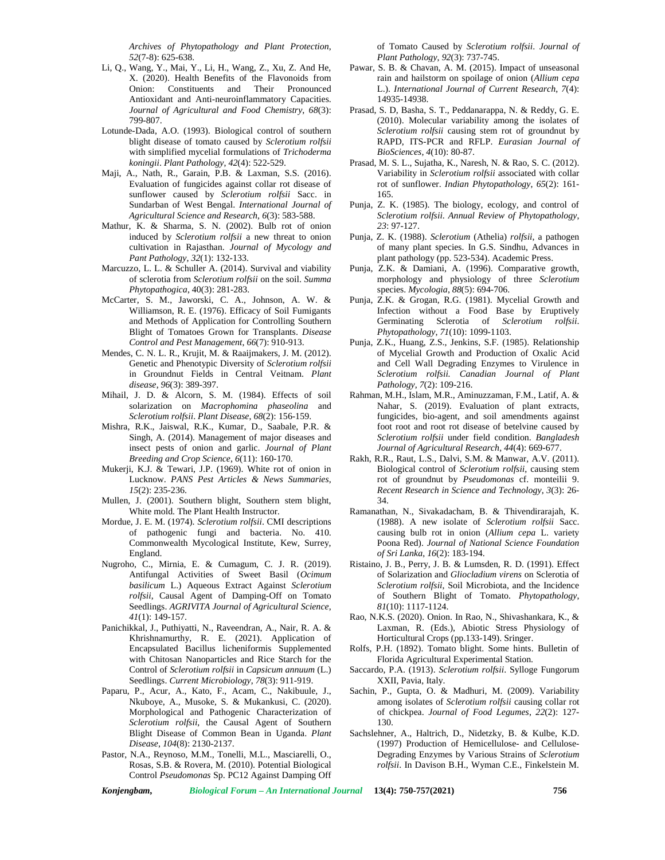*Archives of Phytopathology and Plant Protection*, *52*(7-8): 625-638.

- Li, Q., Wang, Y., Mai, Y., Li, H., Wang, Z., Xu, Z. And He, X. (2020). Health Benefits of the Flavonoids from Onion: Constituents and Their Pronounced Antioxidant and Anti-neuroinflammatory Capacities. *Journal of Agricultural and Food Chemistry*, *68*(3): 799-807.
- Lotunde-Dada, A.O. (1993). Biological control of southern blight disease of tomato caused by *Sclerotium rolfsii* with simplified mycelial formulations of *Trichoderma koningii*. *Plant Pathology*, *42*(4): 522-529.
- Maji, A., Nath, R., Garain, P.B. & Laxman, S.S. (2016). Evaluation of fungicides against collar rot disease of sunflower caused by *Sclerotium rolfsii* Sacc. in Sundarban of West Bengal. *International Journal of Agricultural Science and Research*, *6*(3): 583-588.
- Mathur, K. & Sharma, S. N. (2002). Bulb rot of onion induced by *Sclerotium rolfsii* a new threat to onion cultivation in Rajasthan. *Journal of Mycology and Pant Pathology*, *32*(1): 132-133.
- Marcuzzo, L. L. & Schuller A. (2014). Survival and viability of sclerotia from *Sclerotium rolfsii* on the soil. *Summa Phytopathogica*, 40(3): 281-283.
- McCarter, S. M., Jaworski, C. A., Johnson, A. W. & Williamson, R. E. (1976). Efficacy of Soil Fumigants and Methods of Application for Controlling Southern Blight of Tomatoes Grown for Transplants. *Disease Control and Pest Management*, *66*(7): 910-913.
- Mendes, C. N. L. R., Krujit, M. & Raaijmakers, J. M. (2012). Genetic and Phenotypic Diversity of *Sclerotium rolfsii* in Groundnut Fields in Central Veitnam. *Plant disease*, *96*(3): 389-397.
- Mihail, J. D. & Alcorn, S. M. (1984). Effects of soil solarization on *Macrophomina phaseolina* and *Sclerotium rolfsii*. *Plant Disease*, *68*(2): 156-159.
- Mishra, R.K., Jaiswal, R.K., Kumar, D., Saabale, P.R. & Singh, A. (2014). Management of major diseases and insect pests of onion and garlic. *Journal of Plant Breeding and Crop Science*, *6*(11): 160-170.
- Mukerji, K.J. & Tewari, J.P. (1969). White rot of onion in Lucknow. *PANS Pest Articles & News Summaries*, *15*(2): 235-236.
- Mullen, J. (2001). Southern blight, Southern stem blight, White mold. The Plant Health Instructor*.*
- Mordue, J. E. M. (1974). *Sclerotium rolfsii*. CMI descriptions of pathogenic fungi and bacteria. No. 410. Commonwealth Mycological Institute, Kew, Surrey, England.
- Nugroho, C., Mirnia, E. & Cumagum, C. J. R. (2019). Antifungal Activities of Sweet Basil (*Ocimum basilicum* L.) Aqueous Extract Against *Sclerotium rolfsii*, Causal Agent of Damping-Off on Tomato Seedlings. *AGRIVITA Journal of Agricultural Science*, *41*(1): 149-157.
- Panichikkal, J., Puthiyatti, N., Raveendran, A., Nair, R. A. & Khrishnamurthy, R. E. (2021). Application of Encapsulated Bacillus licheniformis Supplemented with Chitosan Nanoparticles and Rice Starch for the Control of *Sclerotium rolfsii* in *Capsicum annuum* (L.) Seedlings. *Current Microbiology*, *78*(3): 911-919.
- Paparu, P., Acur, A., Kato, F., Acam, C., Nakibuule, J., Nkuboye, A., Musoke, S. & Mukankusi, C. (2020). Morphological and Pathogenic Characterization of *Sclerotium rolfsii*, the Causal Agent of Southern Blight Disease of Common Bean in Uganda. *Plant Disease*, *104*(8): 2130-2137.
- Pastor, N.A., Reynoso, M.M., Tonelli, M.L., Masciarelli, O., Rosas, S.B. & Rovera, M. (2010). Potential Biological Control *Pseudomonas* Sp. PC12 Against Damping Off

of Tomato Caused by *Sclerotium rolfsii*. *Journal of Plant Pathology*, *92*(3): 737-745.

- Pawar, S. B. & Chavan, A. M. (2015). Impact of unseasonal rain and hailstorm on spoilage of onion (*Allium cepa* L.). *International Journal of Current Research*, *7*(4): 14935-14938.
- Prasad, S. D, Basha, S. T., Peddanarappa, N. & Reddy, G. E. (2010). Molecular variability among the isolates of *Sclerotium rolfsii* causing stem rot of groundnut by RAPD, ITS-PCR and RFLP. *Eurasian Journal of BioSciences*, *4*(10): 80-87.
- Prasad, M. S. L., Sujatha, K., Naresh, N. & Rao, S. C. (2012). Variability in *Sclerotium rolfsii* associated with collar rot of sunflower. *Indian Phytopathology*, *65*(2): 161- 165.
- Punja, Z. K. (1985). The biology, ecology, and control of *Sclerotium rolfsii*. *Annual Review of Phytopathology*, *23*: 97-127.
- Punja, Z. K. (1988). *Sclerotium* (Athelia) *rolfsii*, a pathogen of many plant species. In G.S. Sindhu, Advances in plant pathology (pp. 523-534). Academic Press.
- Punja, Z.K. & Damiani, A. (1996). Comparative growth, morphology and physiology of three *Sclerotium* species. *Mycologia*, *88*(5): 694-706.
- Punja, Z.K. & Grogan, R.G. (1981). Mycelial Growth and Infection without a Food Base by Eruptively Germinating Sclerotia of *Sclerotium rolfsii*. *Phytopathology*, *71*(10): 1099-1103.
- Punja, Z.K., Huang, Z.S., Jenkins, S.F. (1985). Relationship of Mycelial Growth and Production of Oxalic Acid and Cell Wall Degrading Enzymes to Virulence in *Sclerotium rolfsii. Canadian Journal of Plant Pathology*, *7*(2): 109-216.
- Rahman, M.H., Islam, M.R., Aminuzzaman, F.M., Latif, A. & Nahar, S. (2019). Evaluation of plant extracts, fungicides, bio-agent, and soil amendments against foot root and root rot disease of betelvine caused by *Sclerotium rolfsii* under field condition. *Bangladesh Journal of Agricultural Research*, *44*(4): 669-677.
- Rakh, R.R., Raut, L.S., Dalvi, S.M. & Manwar, A.V. (2011). Biological control of *Sclerotium rolfsii*, causing stem rot of groundnut by *Pseudomonas* cf. monteilii 9. *Recent Research in Science and Technology*, *3*(3): 26- 34.
- Ramanathan, N., Sivakadacham, B. & Thivendirarajah, K. (1988). A new isolate of *Sclerotium rolfsii* Sacc. causing bulb rot in onion (*Allium cepa* L. variety Poona Red). *Journal of National Science Foundation of Sri Lanka*, *16*(2): 183-194.
- Ristaino, J. B., Perry, J. B. & Lumsden, R. D. (1991). Effect of Solarization and *Gliocladium virens* on Sclerotia of *Sclerotium rolfsii*, Soil Microbiota, and the Incidence of Southern Blight of Tomato. *Phytopathology*, *81*(10): 1117-1124.
- Rao, N.K.S. (2020). Onion. In Rao, N., Shivashankara, K., & Laxman, R. (Eds.), Abiotic Stress Physiology of Horticultural Crops (pp.133-149). Sringer.
- Rolfs, P.H. (1892). Tomato blight. Some hints. Bulletin of Florida Agricultural Experimental Station.
- Saccardo, P.A. (1913). *Sclerotium rolfsii*. Sylloge Fungorum XXII, Pavia, Italy.
- Sachin, P., Gupta, O. & Madhuri, M. (2009). Variability among isolates of *Sclerotium rolfsii* causing collar rot of chickpea. *Journal of Food Legumes*, *22*(2): 127- 130.
- Sachslehner, A., Haltrich, D., Nidetzky, B. & Kulbe, K.D. (1997) Production of Hemicellulose- and Cellulose- Degrading Enzymes by Various Strains of *Sclerotium rolfsii*. In Davison B.H., Wyman C.E., Finkelstein M.

*Konjengbam, Biological Forum – An International Journal* **13(4): 750-757(2021) 756**